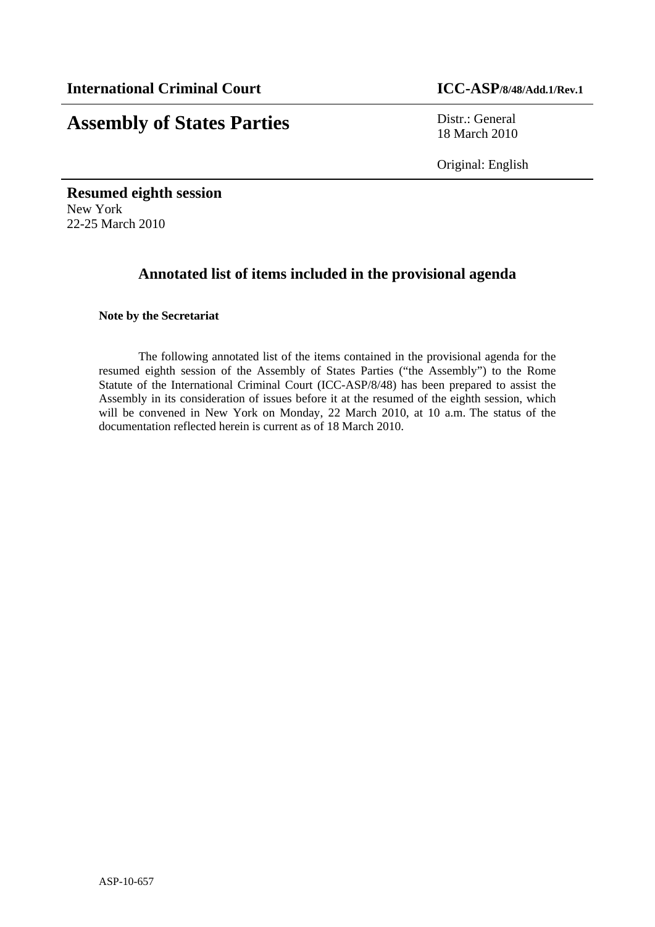# **Assembly of States Parties** Distr.: General

18 March 2010

Original: English

**Resumed eighth session**  New York 22-25 March 2010

## **Annotated list of items included in the provisional agenda**

#### **Note by the Secretariat**

 The following annotated list of the items contained in the provisional agenda for the resumed eighth session of the Assembly of States Parties ("the Assembly") to the Rome Statute of the International Criminal Court (ICC-ASP/8/48) has been prepared to assist the Assembly in its consideration of issues before it at the resumed of the eighth session, which will be convened in New York on Monday, 22 March 2010, at 10 a.m. The status of the documentation reflected herein is current as of 18 March 2010.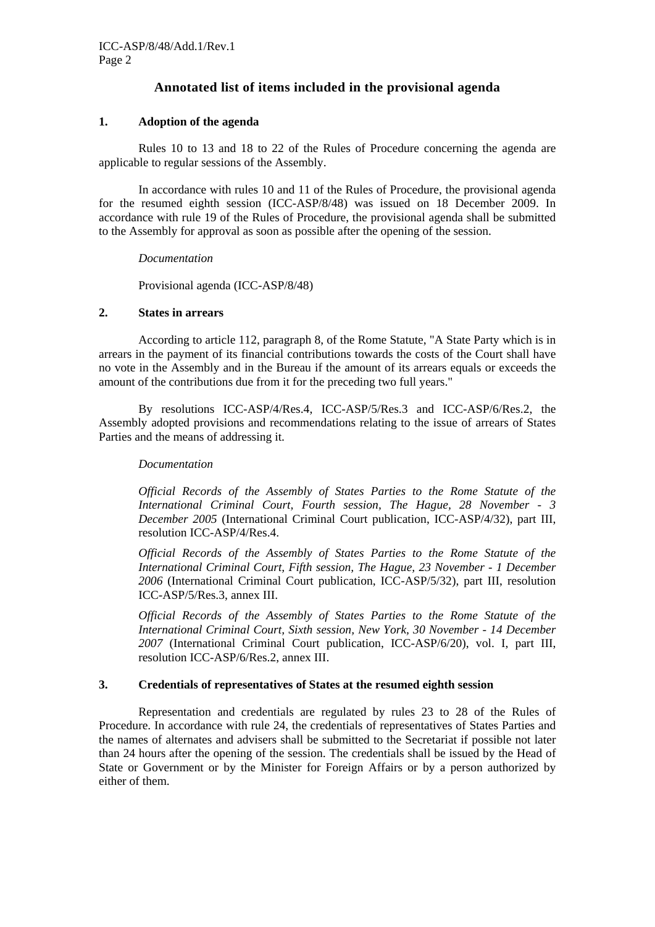### **Annotated list of items included in the provisional agenda**

#### **1. Adoption of the agenda**

Rules 10 to 13 and 18 to 22 of the Rules of Procedure concerning the agenda are applicable to regular sessions of the Assembly.

In accordance with rules 10 and 11 of the Rules of Procedure, the provisional agenda for the resumed eighth session (ICC-ASP/8/48) was issued on 18 December 2009. In accordance with rule 19 of the Rules of Procedure, the provisional agenda shall be submitted to the Assembly for approval as soon as possible after the opening of the session.

#### *Documentation*

Provisional agenda (ICC-ASP/8/48)

#### **2. States in arrears**

 According to article 112, paragraph 8, of the Rome Statute, "A State Party which is in arrears in the payment of its financial contributions towards the costs of the Court shall have no vote in the Assembly and in the Bureau if the amount of its arrears equals or exceeds the amount of the contributions due from it for the preceding two full years."

 By resolutions ICC-ASP/4/Res.4, ICC-ASP/5/Res.3 and ICC-ASP/6/Res.2, the Assembly adopted provisions and recommendations relating to the issue of arrears of States Parties and the means of addressing it.

#### *Documentation*

*Official Records of the Assembly of States Parties to the Rome Statute of the International Criminal Court, Fourth session, The Hague, 28 November - 3 December 2005* (International Criminal Court publication, ICC-ASP/4/32), part III, resolution ICC-ASP/4/Res.4.

*Official Records of the Assembly of States Parties to the Rome Statute of the International Criminal Court, Fifth session, The Hague, 23 November - 1 December 2006* (International Criminal Court publication, ICC-ASP/5/32), part III, resolution ICC-ASP/5/Res.3, annex III.

*Official Records of the Assembly of States Parties to the Rome Statute of the International Criminal Court, Sixth session, New York, 30 November - 14 December 2007* (International Criminal Court publication, ICC-ASP/6/20), vol. I, part III, resolution ICC-ASP/6/Res.2, annex III.

#### **3. Credentials of representatives of States at the resumed eighth session**

Representation and credentials are regulated by rules 23 to 28 of the Rules of Procedure. In accordance with rule 24, the credentials of representatives of States Parties and the names of alternates and advisers shall be submitted to the Secretariat if possible not later than 24 hours after the opening of the session. The credentials shall be issued by the Head of State or Government or by the Minister for Foreign Affairs or by a person authorized by either of them.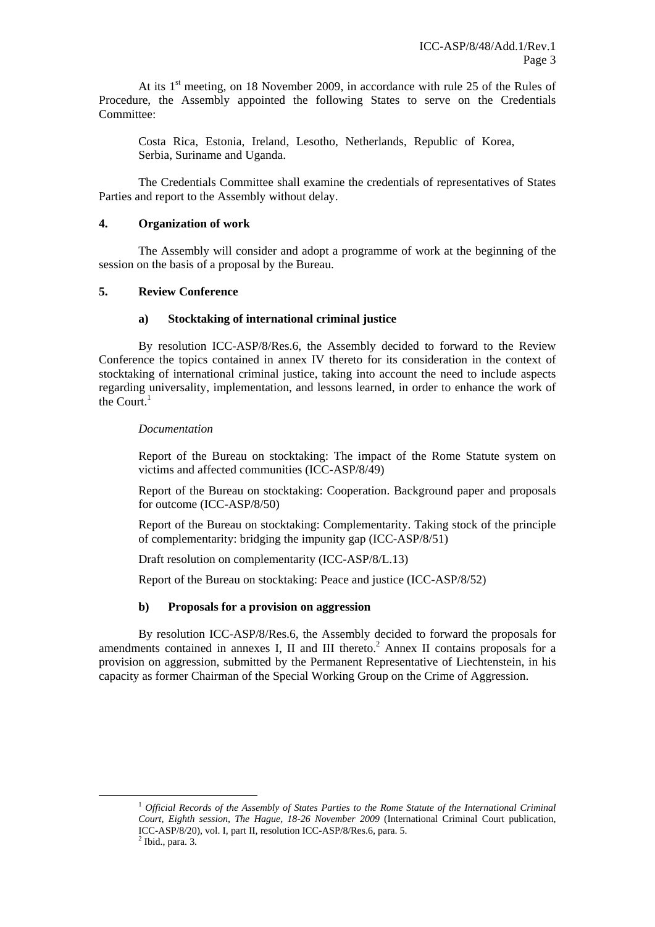At its  $1<sup>st</sup>$  meeting, on 18 November 2009, in accordance with rule 25 of the Rules of Procedure, the Assembly appointed the following States to serve on the Credentials Committee:

Costa Rica, Estonia, Ireland, Lesotho, Netherlands, Republic of Korea, Serbia, Suriname and Uganda.

The Credentials Committee shall examine the credentials of representatives of States Parties and report to the Assembly without delay.

#### **4. Organization of work**

The Assembly will consider and adopt a programme of work at the beginning of the session on the basis of a proposal by the Bureau.

#### **5. Review Conference**

#### **a) Stocktaking of international criminal justice**

By resolution ICC-ASP/8/Res.6, the Assembly decided to forward to the Review Conference the topics contained in annex IV thereto for its consideration in the context of stocktaking of international criminal justice, taking into account the need to include aspects regarding universality, implementation, and lessons learned, in order to enhance the work of the Court.<sup>1</sup>

#### *Documentation*

Report of the Bureau on stocktaking: The impact of the Rome Statute system on victims and affected communities (ICC-ASP/8/49)

Report of the Bureau on stocktaking: Cooperation. Background paper and proposals for outcome (ICC-ASP/8/50)

Report of the Bureau on stocktaking: Complementarity. Taking stock of the principle of complementarity: bridging the impunity gap (ICC-ASP/8/51)

Draft resolution on complementarity (ICC-ASP/8/L.13)

Report of the Bureau on stocktaking: Peace and justice (ICC-ASP/8/52)

#### **b) Proposals for a provision on aggression**

 By resolution ICC-ASP/8/Res.6, the Assembly decided to forward the proposals for amendments contained in annexes I, II and III thereto.<sup>2</sup> Annex II contains proposals for a provision on aggression, submitted by the Permanent Representative of Liechtenstein, in his capacity as former Chairman of the Special Working Group on the Crime of Aggression.

 1 *Official Records of the Assembly of States Parties to the Rome Statute of the International Criminal Court, Eighth session, The Hague, 18-26 November 2009* (International Criminal Court publication, ICC-ASP/8/20), vol. I, part II, resolution ICC-ASP/8/Res.6, para. 5. 2

 $<sup>2</sup>$  Ibid., para. 3.</sup>